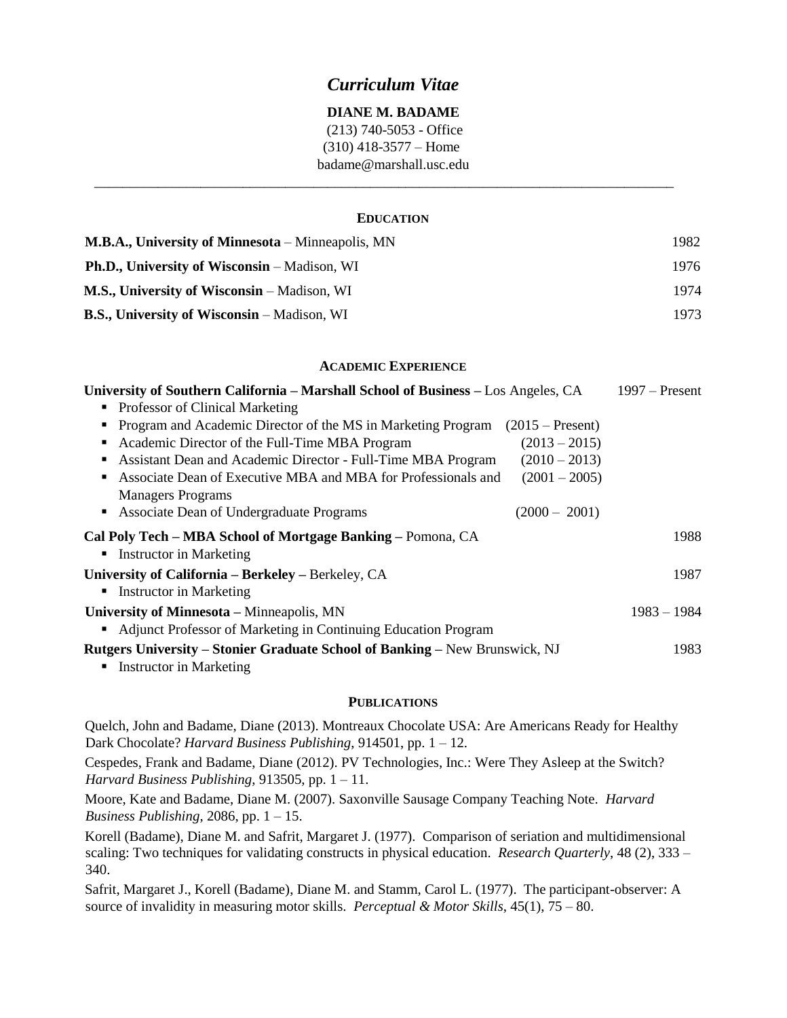## *Curriculum Vitae*

### **DIANE M. BADAME**

(213) 740-5053 - Office (310) 418-3577 – Home badame@marshall.usc.edu

### **EDUCATION**

\_\_\_\_\_\_\_\_\_\_\_\_\_\_\_\_\_\_\_\_\_\_\_\_\_\_\_\_\_\_\_\_\_\_\_\_\_\_\_\_\_\_\_\_\_\_\_\_\_\_\_\_\_\_\_\_\_\_\_\_\_\_\_\_\_\_\_\_\_\_\_\_\_\_\_\_\_\_\_\_\_\_

| <b>M.B.A., University of Minnesota</b> – Minneapolis, MN | 1982. |
|----------------------------------------------------------|-------|
| <b>Ph.D., University of Wisconsin</b> – Madison, WI      | 1976. |
| <b>M.S., University of Wisconsin</b> – Madison, WI       | 1974  |
| <b>B.S., University of Wisconsin</b> – Madison, WI       | 1973  |

### **ACADEMIC EXPERIENCE**

| University of Southern California - Marshall School of Business - Los Angeles, CA              |                    | $1997 -$ Present |
|------------------------------------------------------------------------------------------------|--------------------|------------------|
| Professor of Clinical Marketing<br>٠                                                           |                    |                  |
| Program and Academic Director of the MS in Marketing Program<br>п                              | $(2015 - Present)$ |                  |
| Academic Director of the Full-Time MBA Program<br>п                                            | $(2013 - 2015)$    |                  |
| Assistant Dean and Academic Director - Full-Time MBA Program<br>п                              | $(2010 - 2013)$    |                  |
| Associate Dean of Executive MBA and MBA for Professionals and<br>٠<br><b>Managers Programs</b> | $(2001 - 2005)$    |                  |
| Associate Dean of Undergraduate Programs                                                       | $(2000 - 2001)$    |                  |
| Cal Poly Tech – MBA School of Mortgage Banking – Pomona, CA                                    |                    | 1988             |
| <b>Instructor in Marketing</b><br>٠                                                            |                    |                  |
| University of California – Berkeley – Berkeley, CA                                             |                    | 1987             |
| <b>Instructor in Marketing</b><br>٠                                                            |                    |                  |
| University of Minnesota – Minneapolis, MN                                                      |                    | $1983 - 1984$    |
| Adjunct Professor of Marketing in Continuing Education Program<br>$\blacksquare$               |                    |                  |
| <b>Rutgers University – Stonier Graduate School of Banking – New Brunswick, NJ</b>             |                    | 1983             |
| <b>Instructor in Marketing</b>                                                                 |                    |                  |

#### **PUBLICATIONS**

Quelch, John and Badame, Diane (2013). Montreaux Chocolate USA: Are Americans Ready for Healthy Dark Chocolate? *Harvard Business Publishing*, 914501, pp. 1 – 12.

Cespedes, Frank and Badame, Diane (2012). PV Technologies, Inc.: Were They Asleep at the Switch? *Harvard Business Publishing*, 913505, pp. 1 – 11.

Moore, Kate and Badame, Diane M. (2007). Saxonville Sausage Company Teaching Note. *Harvard Business Publishing*, 2086, pp. 1 – 15.

Korell (Badame), Diane M. and Safrit, Margaret J. (1977). Comparison of seriation and multidimensional scaling: Two techniques for validating constructs in physical education. *Research Quarterly*, 48 (2), 333 – 340.

Safrit, Margaret J., Korell (Badame), Diane M. and Stamm, Carol L. (1977). The participant-observer: A source of invalidity in measuring motor skills. *Perceptual & Motor Skills*, 45(1), 75 – 80.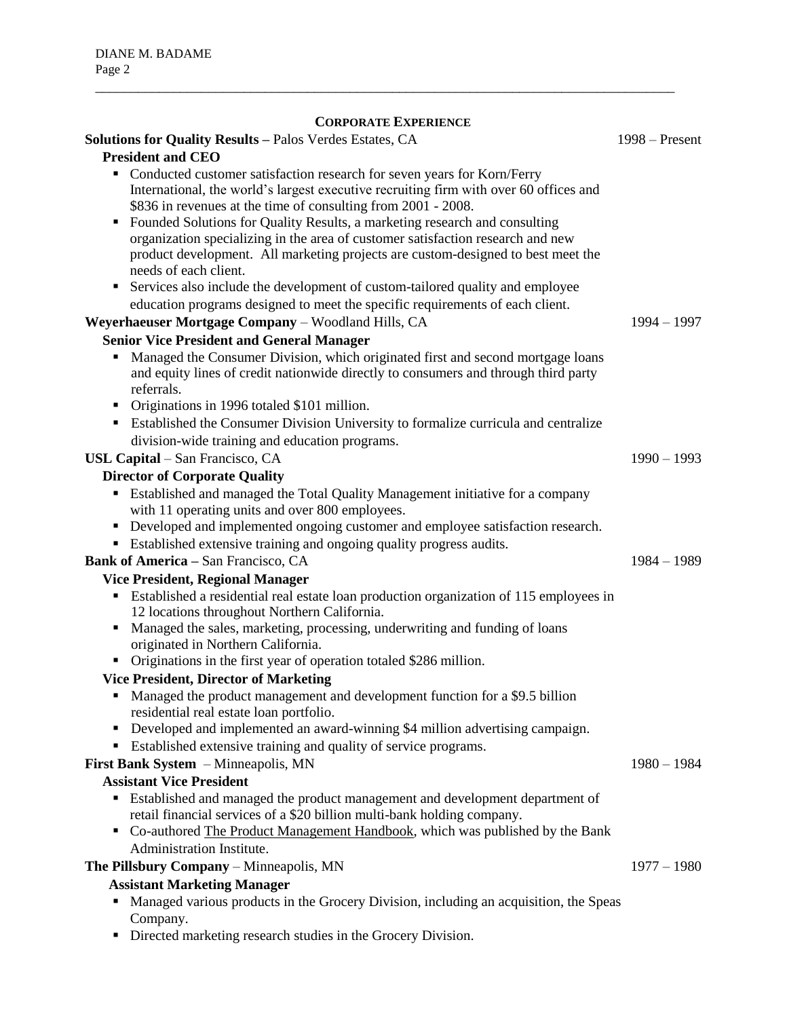# **CORPORATE EXPERIENCE**

\_\_\_\_\_\_\_\_\_\_\_\_\_\_\_\_\_\_\_\_\_\_\_\_\_\_\_\_\_\_\_\_\_\_\_\_\_\_\_\_\_\_\_\_\_\_\_\_\_\_\_\_\_\_\_\_\_\_\_\_\_\_\_\_\_\_\_\_\_\_\_\_\_\_\_\_\_\_\_\_\_\_

| Solutions for Quality Results - Palos Verdes Estates, CA<br><b>President and CEO</b>                                                                                                                                                                                                                                                                                                                                                                                                                                                                                                                      | $1998 -$ Present |
|-----------------------------------------------------------------------------------------------------------------------------------------------------------------------------------------------------------------------------------------------------------------------------------------------------------------------------------------------------------------------------------------------------------------------------------------------------------------------------------------------------------------------------------------------------------------------------------------------------------|------------------|
| • Conducted customer satisfaction research for seven years for Korn/Ferry<br>International, the world's largest executive recruiting firm with over 60 offices and<br>\$836 in revenues at the time of consulting from 2001 - 2008.<br>Founded Solutions for Quality Results, a marketing research and consulting<br>٠<br>organization specializing in the area of customer satisfaction research and new<br>product development. All marketing projects are custom-designed to best meet the<br>needs of each client.<br>• Services also include the development of custom-tailored quality and employee |                  |
| education programs designed to meet the specific requirements of each client.                                                                                                                                                                                                                                                                                                                                                                                                                                                                                                                             |                  |
| Weyerhaeuser Mortgage Company - Woodland Hills, CA                                                                                                                                                                                                                                                                                                                                                                                                                                                                                                                                                        | $1994 - 1997$    |
| <b>Senior Vice President and General Manager</b>                                                                                                                                                                                                                                                                                                                                                                                                                                                                                                                                                          |                  |
| Managed the Consumer Division, which originated first and second mortgage loans<br>٠<br>and equity lines of credit nationwide directly to consumers and through third party<br>referrals.                                                                                                                                                                                                                                                                                                                                                                                                                 |                  |
| • Originations in 1996 totaled \$101 million.<br>• Established the Consumer Division University to formalize curricula and centralize                                                                                                                                                                                                                                                                                                                                                                                                                                                                     |                  |
| division-wide training and education programs.                                                                                                                                                                                                                                                                                                                                                                                                                                                                                                                                                            |                  |
| USL Capital - San Francisco, CA                                                                                                                                                                                                                                                                                                                                                                                                                                                                                                                                                                           | $1990 - 1993$    |
| <b>Director of Corporate Quality</b>                                                                                                                                                                                                                                                                                                                                                                                                                                                                                                                                                                      |                  |
| Established and managed the Total Quality Management initiative for a company<br>with 11 operating units and over 800 employees.<br>• Developed and implemented ongoing customer and employee satisfaction research.                                                                                                                                                                                                                                                                                                                                                                                      |                  |
| • Established extensive training and ongoing quality progress audits.                                                                                                                                                                                                                                                                                                                                                                                                                                                                                                                                     |                  |
| <b>Bank of America - San Francisco, CA</b>                                                                                                                                                                                                                                                                                                                                                                                                                                                                                                                                                                | $1984 - 1989$    |
| <b>Vice President, Regional Manager</b>                                                                                                                                                                                                                                                                                                                                                                                                                                                                                                                                                                   |                  |
| • Established a residential real estate loan production organization of 115 employees in<br>12 locations throughout Northern California.<br>Managed the sales, marketing, processing, underwriting and funding of loans                                                                                                                                                                                                                                                                                                                                                                                   |                  |
| originated in Northern California.                                                                                                                                                                                                                                                                                                                                                                                                                                                                                                                                                                        |                  |
| Originations in the first year of operation totaled \$286 million.                                                                                                                                                                                                                                                                                                                                                                                                                                                                                                                                        |                  |
| <b>Vice President, Director of Marketing</b>                                                                                                                                                                                                                                                                                                                                                                                                                                                                                                                                                              |                  |
| • Managed the product management and development function for a \$9.5 billion<br>residential real estate loan portfolio.                                                                                                                                                                                                                                                                                                                                                                                                                                                                                  |                  |
| Developed and implemented an award-winning \$4 million advertising campaign.                                                                                                                                                                                                                                                                                                                                                                                                                                                                                                                              |                  |
| • Established extensive training and quality of service programs.                                                                                                                                                                                                                                                                                                                                                                                                                                                                                                                                         |                  |
| First Bank System - Minneapolis, MN                                                                                                                                                                                                                                                                                                                                                                                                                                                                                                                                                                       | $1980 - 1984$    |
| <b>Assistant Vice President</b>                                                                                                                                                                                                                                                                                                                                                                                                                                                                                                                                                                           |                  |
| Established and managed the product management and development department of<br>٠<br>retail financial services of a \$20 billion multi-bank holding company.<br>• Co-authored The Product Management Handbook, which was published by the Bank                                                                                                                                                                                                                                                                                                                                                            |                  |
| <b>Administration Institute.</b>                                                                                                                                                                                                                                                                                                                                                                                                                                                                                                                                                                          |                  |
| The Pillsbury Company - Minneapolis, MN                                                                                                                                                                                                                                                                                                                                                                                                                                                                                                                                                                   | $1977 - 1980$    |
| <b>Assistant Marketing Manager</b>                                                                                                                                                                                                                                                                                                                                                                                                                                                                                                                                                                        |                  |
| Managed various products in the Grocery Division, including an acquisition, the Speas                                                                                                                                                                                                                                                                                                                                                                                                                                                                                                                     |                  |
| Company.                                                                                                                                                                                                                                                                                                                                                                                                                                                                                                                                                                                                  |                  |

Directed marketing research studies in the Grocery Division.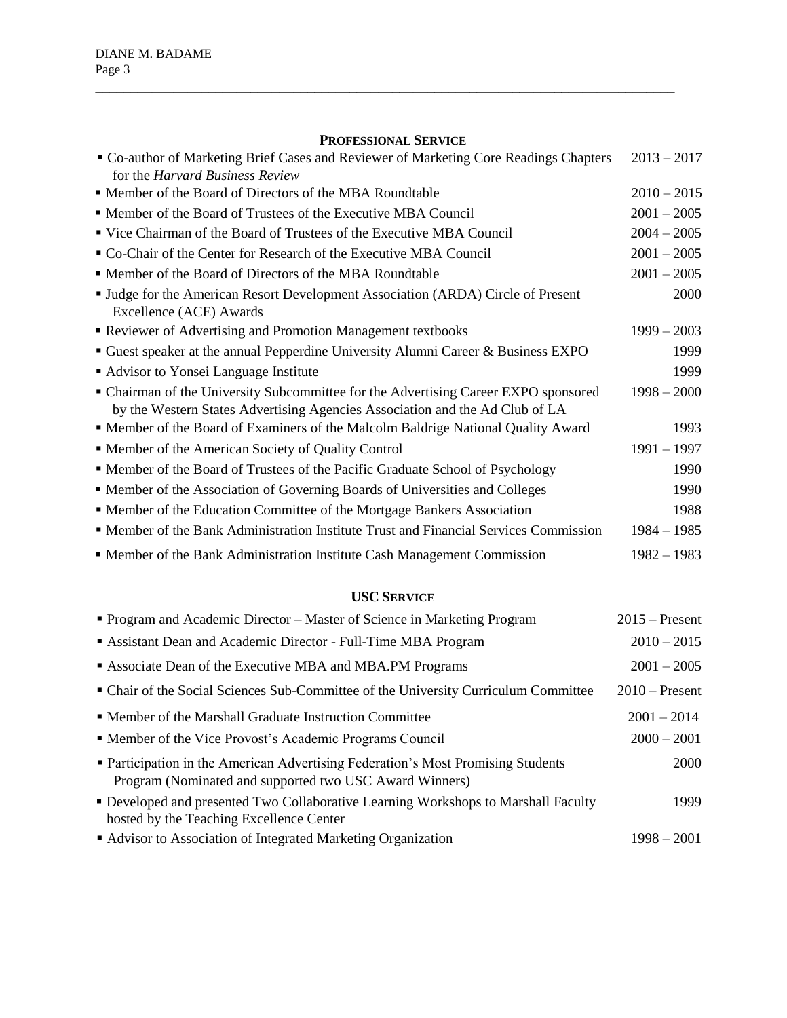### **PROFESSIONAL SERVICE**

\_\_\_\_\_\_\_\_\_\_\_\_\_\_\_\_\_\_\_\_\_\_\_\_\_\_\_\_\_\_\_\_\_\_\_\_\_\_\_\_\_\_\_\_\_\_\_\_\_\_\_\_\_\_\_\_\_\_\_\_\_\_\_\_\_\_\_\_\_\_\_\_\_\_\_\_\_\_\_\_\_\_

| " Co-author of Marketing Brief Cases and Reviewer of Marketing Core Readings Chapters<br>for the <i>Harvard Business Review</i>                                     | $2013 - 2017$ |
|---------------------------------------------------------------------------------------------------------------------------------------------------------------------|---------------|
| • Member of the Board of Directors of the MBA Roundtable                                                                                                            | $2010 - 2015$ |
| • Member of the Board of Trustees of the Executive MBA Council                                                                                                      | $2001 - 2005$ |
| ■ Vice Chairman of the Board of Trustees of the Executive MBA Council                                                                                               | $2004 - 2005$ |
| • Co-Chair of the Center for Research of the Executive MBA Council                                                                                                  | $2001 - 2005$ |
| • Member of the Board of Directors of the MBA Roundtable                                                                                                            | $2001 - 2005$ |
| <b>Judge for the American Resort Development Association (ARDA) Circle of Present</b><br>Excellence (ACE) Awards                                                    | 2000          |
| Reviewer of Advertising and Promotion Management textbooks                                                                                                          | $1999 - 2003$ |
| Guest speaker at the annual Pepperdine University Alumni Career & Business EXPO                                                                                     | 1999          |
| • Advisor to Yonsei Language Institute                                                                                                                              | 1999          |
| • Chairman of the University Subcommittee for the Advertising Career EXPO sponsored<br>by the Western States Advertising Agencies Association and the Ad Club of LA | $1998 - 2000$ |
| " Member of the Board of Examiners of the Malcolm Baldrige National Quality Award                                                                                   | 1993          |
| • Member of the American Society of Quality Control                                                                                                                 | $1991 - 1997$ |
| • Member of the Board of Trustees of the Pacific Graduate School of Psychology                                                                                      | 1990          |
| • Member of the Association of Governing Boards of Universities and Colleges                                                                                        | 1990          |
| • Member of the Education Committee of the Mortgage Bankers Association                                                                                             | 1988          |
| • Member of the Bank Administration Institute Trust and Financial Services Commission                                                                               | $1984 - 1985$ |
| • Member of the Bank Administration Institute Cash Management Commission                                                                                            | $1982 - 1983$ |

# **USC SERVICE**

| • Program and Academic Director – Master of Science in Marketing Program                                                                    | $2015$ – Present |
|---------------------------------------------------------------------------------------------------------------------------------------------|------------------|
| Assistant Dean and Academic Director - Full-Time MBA Program                                                                                | $2010 - 2015$    |
| Associate Dean of the Executive MBA and MBA.PM Programs                                                                                     | $2001 - 2005$    |
| • Chair of the Social Sciences Sub-Committee of the University Curriculum Committee                                                         | $2010$ – Present |
| • Member of the Marshall Graduate Instruction Committee                                                                                     | $2001 - 2014$    |
| • Member of the Vice Provost's Academic Programs Council                                                                                    | $2000 - 2001$    |
| • Participation in the American Advertising Federation's Most Promising Students<br>Program (Nominated and supported two USC Award Winners) | <b>2000</b>      |
| • Developed and presented Two Collaborative Learning Workshops to Marshall Faculty<br>hosted by the Teaching Excellence Center              | 1999             |
| • Advisor to Association of Integrated Marketing Organization                                                                               | $1998 - 2001$    |